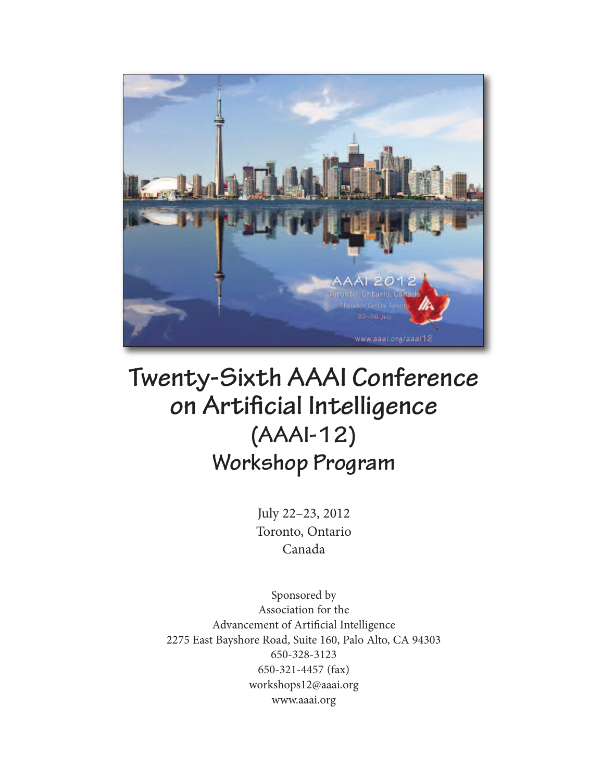

# **Twenty-Sixth AAAI Conference on Artificial Intelligence (AAAI-12) Workshop Program**

July 22–23, 2012 Toronto, Ontario Canada

Sponsored by Association for the Advancement of Artificial Intelligence 2275 East Bayshore Road, Suite 160, Palo Alto, CA 94303 650-328-3123 650-321-4457 (fax) workshops12@aaai.org www.aaai.org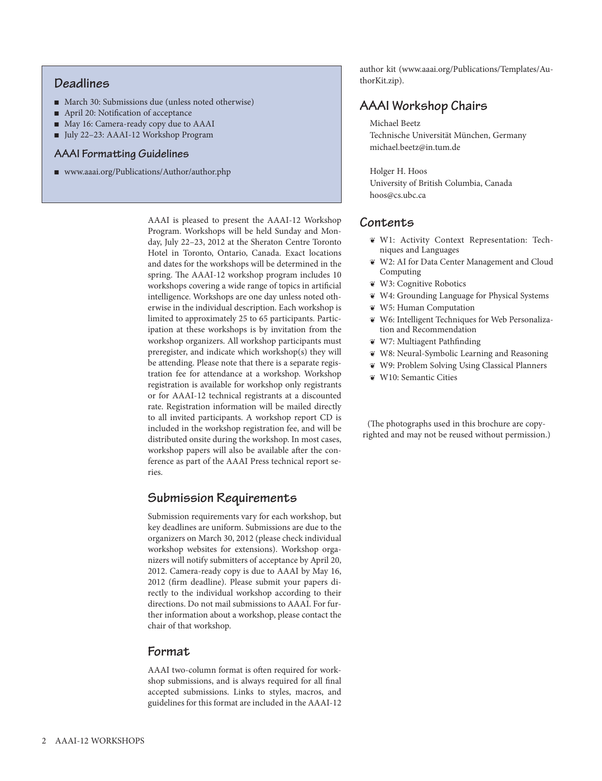# **Deadlines**

- March 30: Submissions due (unless noted otherwise)
- April 20: Notification of acceptance
- May 16: Camera-ready copy due to AAAI
- <sup>n</sup> July 22–23: AAAI-12 Workshop Program

### **AAAI** Formatting Guidelines

■ www.aaai.org/Publications/Author/author.php

AAAI is pleased to present the AAAI-12 Workshop Program. Workshops will be held Sunday and Monday, July 22–23, 2012 at the Sheraton Centre Toronto Hotel in Toronto, Ontario, Canada. Exact locations and dates for the workshops will be determined in the spring. The AAAI-12 workshop program includes 10 workshops covering a wide range of topics in artificial intelligence. Workshops are one day unless noted otherwise in the individual description. Each workshop is limited to approximately 25 to 65 participants. Participation at these workshops is by invitation from the workshop organizers. All workshop participants must preregister, and indicate which workshop(s) they will be attending. Please note that there is a separate registration fee for attendance at a workshop. Workshop registration is available for workshop only registrants or for AAAI-12 technical registrants at a discounted rate. Registration information will be mailed directly to all invited participants. A workshop report CD is included in the workshop registration fee, and will be distributed onsite during the workshop. In most cases, workshop papers will also be available after the conference as part of the AAAI Press technical report series.

# **Submission Requirements**

Submission requirements vary for each workshop, but key deadlines are uniform. Submissions are due to the organizers on March 30, 2012 (please check individual workshop websites for extensions). Workshop organizers will notify submitters of acceptance by April 20, 2012. Camera-ready copy is due to AAAI by May 16, 2012 (firm deadline). Please submit your papers directly to the individual workshop according to their directions. Do not mail submissions to AAAI. For further information about a workshop, please contact the chair of that workshop.

# **Format**

AAAI two-column format is often required for workshop submissions, and is always required for all final accepted submissions. Links to styles, macros, and guidelines for this format are included in the AAAI-12 author kit (www.aaai.org/Publications/Templates/AuthorKit.zip).

# **AAAI Workshop Chairs**

Michael Beetz Technische Universität München, Germany michael.beetz@in.tum.de

Holger H. Hoos University of British Columbia, Canada hoos@cs.ubc.ca

# **Contents**

- ¶ W1: Activity Context Representation: Techniques and Languages
- ¶ W2: AI for Data Center Management and Cloud Computing
- ¶ W3: Cognitive Robotics
- ¶ W4: Grounding Language for Physical Systems
- ¶ W5: Human Computation
- ¶ W6: Intelligent Techniques for Web Personalization and Recommendation
- ¶ W7: Multiagent Pathfinding
- ¶ W8: Neural-Symbolic Learning and Reasoning
- ¶ W9: Problem Solving Using Classical Planners
- ¶ W10: Semantic Cities

(The photographs used in this brochure are copyrighted and may not be reused without permission.)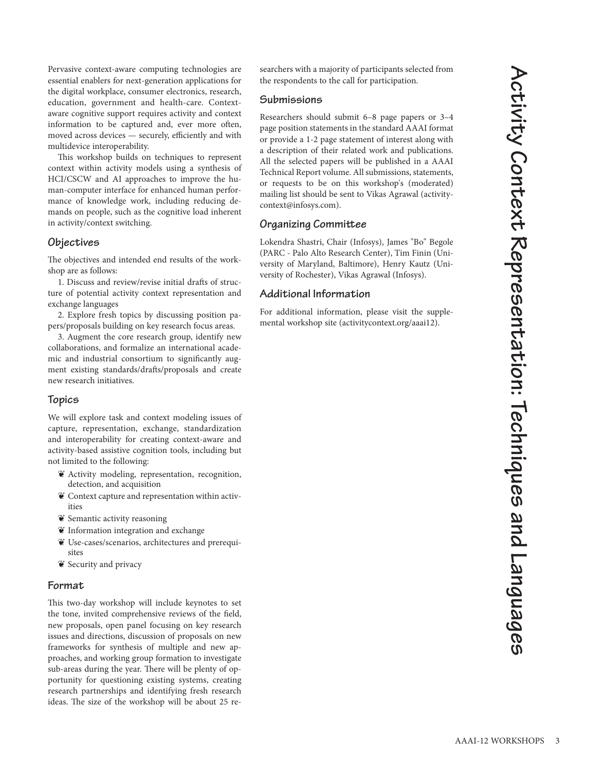Pervasive context-aware computing technologies are essential enablers for next-generation applications for the digital workplace, consumer electronics, research, education, government and health-care. Contextaware cognitive support requires activity and context information to be captured and, ever more often, moved across devices — securely, efficiently and with multidevice interoperability.

This workshop builds on techniques to represent context within activity models using a synthesis of HCI/CSCW and AI approaches to improve the human-computer interface for enhanced human performance of knowledge work, including reducing demands on people, such as the cognitive load inherent in activity/context switching.

#### **Objectives**

The objectives and intended end results of the workshop are as follows:

1. Discuss and review/revise initial drafts of structure of potential activity context representation and exchange languages

2. Explore fresh topics by discussing position papers/proposals building on key research focus areas.

3. Augment the core research group, identify new collaborations, and formalize an international academic and industrial consortium to significantly augment existing standards/drafts/proposals and create new research initiatives.

#### **Topics**

We will explore task and context modeling issues of capture, representation, exchange, standardization and interoperability for creating context-aware and activity-based assistive cognition tools, including but not limited to the following:

- ¶ Activity modeling, representation, recognition, detection, and acquisition
- $\mathbf{\tilde{e}}$  Context capture and representation within activities
- ¶ Semantic activity reasoning
- $\Psi$  Information integration and exchange
- ¶ Use-cases/scenarios, architectures and prerequisites
- ¶ Security and privacy

#### **Format**

This two-day workshop will include keynotes to set the tone, invited comprehensive reviews of the field, new proposals, open panel focusing on key research issues and directions, discussion of proposals on new frameworks for synthesis of multiple and new approaches, and working group formation to investigate sub-areas during the year. There will be plenty of opportunity for questioning existing systems, creating research partnerships and identifying fresh research ideas. The size of the workshop will be about 25 researchers with a majority of participants selected from the respondents to the call for participation.

#### **Submissions**

Researchers should submit 6–8 page papers or 3–4 page position statements in the standard AAAI format or provide a 1-2 page statement of interest along with a description of their related work and publications. All the selected papers will be published in a AAAI Technical Report volume. All submissions, statements, or requests to be on this workshop's (moderated) mailing list should be sent to Vikas Agrawal (activitycontext@infosys.com).

#### **Organizing Committee**

Lokendra Shastri, Chair (Infosys), James "Bo" Begole (PARC - Palo Alto Research Center), Tim Finin (University of Maryland, Baltimore), Henry Kautz (University of Rochester), Vikas Agrawal (Infosys).

#### **Additional Information**

For additional information, please visit the supplemental workshop site (activitycontext.org/aaai12).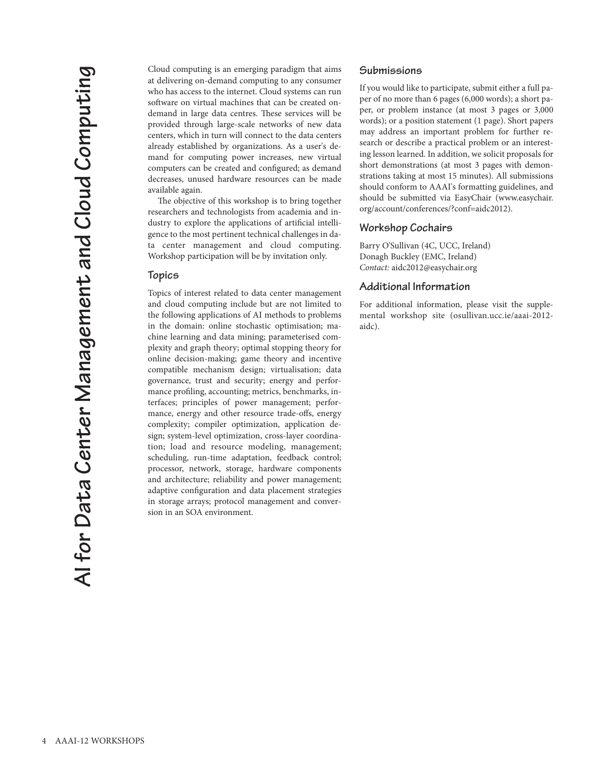Cloud computing is an emerging paradigm that aims at delivering on-demand computing to any consumer who has access to the internet. Cloud systems can run software on virtual machines that can be created ondemand in large data centres. These services will be provided through large-scale networks of new data centers, which in turn will connect to the data centers already established by organizations. As a user's demand for computing power increases, new virtual computers can be created and configured; as demand decreases, unused hardware resources can be made available again.

The objective of this workshop is to bring together researchers and technologists from academia and industry to explore the applications of artificial intelligence to the most pertinent technical challenges in data center management and cloud computing. Workshop participation will be by invitation only.

#### **Topics**

Topics of interest related to data center management and cloud computing include but are not limited to the following applications of AI methods to problems in the domain: online stochastic optimisation; machine learning and data mining; parameterised complexity and graph theory; optimal stopping theory for online decision-making; game theory and incentive compatible mechanism design; virtualisation; data governance, trust and security; energy and performance profiling, accounting; metrics, benchmarks, interfaces; principles of power management; performance, energy and other resource trade-offs, energy complexity; compiler optimization, application design; system-level optimization, cross-layer coordination; load and resource modeling, management; scheduling, run-time adaptation, feedback control; processor, network, storage, hardware components and architecture; reliability and power management; adaptive configuration and data placement strategies in storage arrays; protocol management and conversion in an SOA environment.

#### **Submissions**

If you would like to participate, submit either a full paper of no more than 6 pages (6,000 words); a short paper, or problem instance (at most 3 pages or 3,000 words); or a position statement (1 page). Short papers may address an important problem for further research or describe a practical problem or an interesting lesson learned. In addition, we solicit proposals for short demonstrations (at most 3 pages with demonstrations taking at most 15 minutes). All submissions should conform to AAAI's formatting guidelines, and should be submitted via EasyChair (www.easychair. org/account/conferences/?conf=aidc2012).

#### **Workshop Cochairs**

Barry O'Sullivan (4C, UCC, Ireland) Donagh Buckley (EMC, Ireland) *Contact:* aidc2012@easychair.org

#### **Additional Information**

For additional information, please visit the supplemental workshop site (osullivan.ucc.ie/aaai-2012 aidc).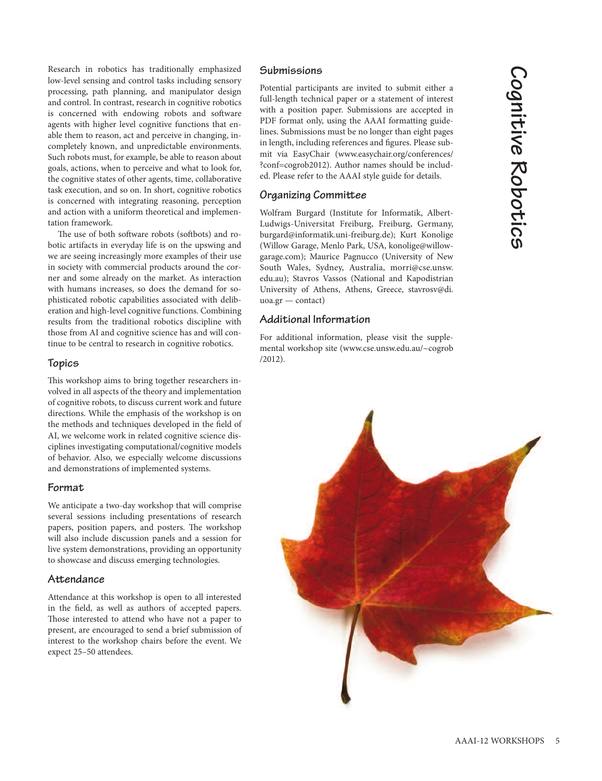Research in robotics has traditionally emphasized low-level sensing and control tasks including sensory processing, path planning, and manipulator design and control. In contrast, research in cognitive robotics is concerned with endowing robots and software agents with higher level cognitive functions that enable them to reason, act and perceive in changing, incompletely known, and unpredictable environments. Such robots must, for example, be able to reason about goals, actions, when to perceive and what to look for, the cognitive states of other agents, time, collaborative task execution, and so on. In short, cognitive robotics is concerned with integrating reasoning, perception and action with a uniform theoretical and implementation framework.

The use of both software robots (softbots) and robotic artifacts in everyday life is on the upswing and we are seeing increasingly more examples of their use in society with commercial products around the corner and some already on the market. As interaction with humans increases, so does the demand for sophisticated robotic capabilities associated with deliberation and high-level cognitive functions. Combining results from the traditional robotics discipline with those from AI and cognitive science has and will continue to be central to research in cognitive robotics.

#### **Topics**

This workshop aims to bring together researchers involved in all aspects of the theory and implementation of cognitive robots, to discuss current work and future directions. While the emphasis of the workshop is on the methods and techniques developed in the field of AI, we welcome work in related cognitive science disciplines investigating computational/cognitive models of behavior. Also, we especially welcome discussions and demonstrations of implemented systems.

#### **Format**

We anticipate a two-day workshop that will comprise several sessions including presentations of research papers, position papers, and posters. The workshop will also include discussion panels and a session for live system demonstrations, providing an opportunity to showcase and discuss emerging technologies.

#### Attendance

Attendance at this workshop is open to all interested in the field, as well as authors of accepted papers. Those interested to attend who have not a paper to present, are encouraged to send a brief submission of interest to the workshop chairs before the event. We expect 25–50 attendees.

#### **Submissions**

Potential participants are invited to submit either a full-length technical paper or a statement of interest with a position paper. Submissions are accepted in PDF format only, using the AAAI formatting guidelines. Submissions must be no longer than eight pages in length, including references and figures. Please submit via EasyChair (www.easychair.org/conferences/ ?conf=cogrob2012). Author names should be included. Please refer to the AAAI style guide for details.

# **Organizing Committee**

Wolfram Burgard (Institute for Informatik, Albert-Ludwigs-Universitat Freiburg, Freiburg, Germany, burgard@informatik.uni-freiburg.de); Kurt Konolige (Willow Garage, Menlo Park, USA, konolige@willowgarage.com); Maurice Pagnucco (University of New South Wales, Sydney, Australia, morri@cse.unsw. edu.au); Stavros Vassos (National and Kapodistrian University of Athens, Athens, Greece, stavrosv@di. uoa.gr — contact)

# **Additional Information**

For additional information, please visit the supplemental workshop site (www.cse.unsw.edu.au/~cogrob /2012).

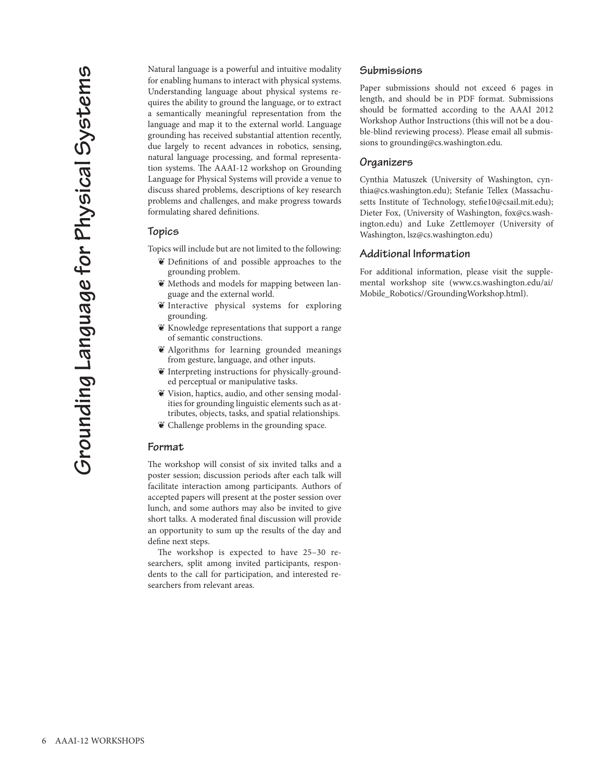Natural language is a powerful and intuitive modality for enabling humans to interact with physical systems. Understanding language about physical systems requires the ability to ground the language, or to extract a semantically meaningful representation from the language and map it to the external world. Language grounding has received substantial attention recently, due largely to recent advances in robotics, sensing, natural language processing, and formal representation systems. The AAAI-12 workshop on Grounding Language for Physical Systems will provide a venue to discuss shared problems, descriptions of key research problems and challenges, and make progress towards formulating shared definitions.

#### **Topics**

Topics will include but are not limited to the following:

- ¶ Definitions of and possible approaches to the grounding problem.
- $\mathbf{\tilde{e}}$  Methods and models for mapping between language and the external world.
- ¶ Interactive physical systems for exploring grounding.
- ¶ Knowledge representations that support a range of semantic constructions.
- ¶ Algorithms for learning grounded meanings from gesture, language, and other inputs.
- $\mathbf{\tilde{e}}$  Interpreting instructions for physically-grounded perceptual or manipulative tasks.
- ¶ Vision, haptics, audio, and other sensing modalities for grounding linguistic elements such as attributes, objects, tasks, and spatial relationships.
- ¶ Challenge problems in the grounding space.

#### **Format**

The workshop will consist of six invited talks and a poster session; discussion periods after each talk will facilitate interaction among participants. Authors of accepted papers will present at the poster session over lunch, and some authors may also be invited to give short talks. A moderated final discussion will provide an opportunity to sum up the results of the day and define next steps.

The workshop is expected to have 25-30 researchers, split among invited participants, respondents to the call for participation, and interested researchers from relevant areas.

#### **Submissions**

Paper submissions should not exceed 6 pages in length, and should be in PDF format. Submissions should be formatted according to the AAAI 2012 Workshop Author Instructions (this will not be a double-blind reviewing process). Please email all submissions to grounding@cs.washington.edu.

#### **Organizers**

Cynthia Matuszek (University of Washington, cynthia@cs.washington.edu); Stefanie Tellex (Massachusetts Institute of Technology, stefie10@csail.mit.edu); Dieter Fox, (University of Washington, fox@cs.washington.edu) and Luke Zettlemoyer (University of Washington, lsz@cs.washington.edu)

#### **Additional Information**

For additional information, please visit the supplemental workshop site (www.cs.washington.edu/ai/ Mobile\_Robotics//GroundingWorkshop.html).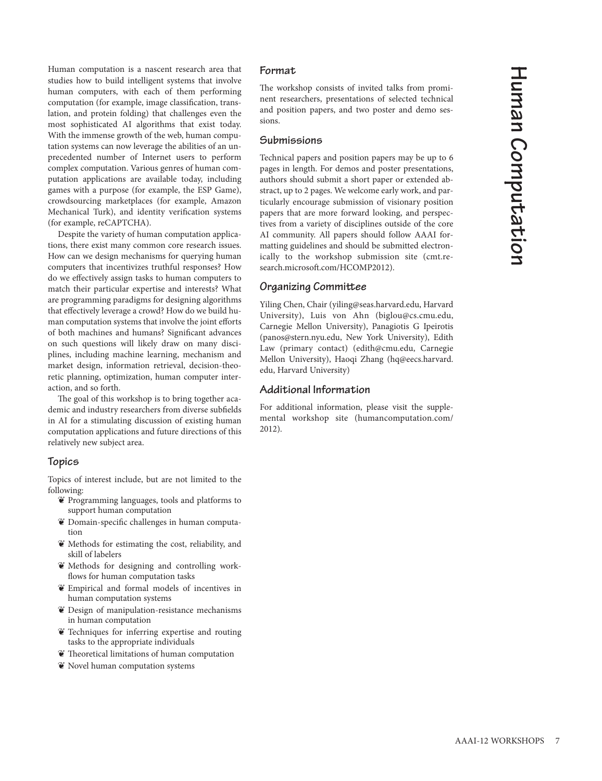Human computation is a nascent research area that studies how to build intelligent systems that involve human computers, with each of them performing computation (for example, image classification, translation, and protein folding) that challenges even the most sophisticated AI algorithms that exist today. With the immense growth of the web, human computation systems can now leverage the abilities of an unprecedented number of Internet users to perform complex computation. Various genres of human computation applications are available today, including games with a purpose (for example, the ESP Game), crowdsourcing marketplaces (for example, Amazon Mechanical Turk), and identity verification systems (for example, reCAPTCHA).

Despite the variety of human computation applications, there exist many common core research issues. How can we design mechanisms for querying human computers that incentivizes truthful responses? How do we effectively assign tasks to human computers to match their particular expertise and interests? What are programming paradigms for designing algorithms that effectively leverage a crowd? How do we build human computation systems that involve the joint efforts of both machines and humans? Significant advances on such questions will likely draw on many disciplines, including machine learning, mechanism and market design, information retrieval, decision-theoretic planning, optimization, human computer interaction, and so forth.

The goal of this workshop is to bring together academic and industry researchers from diverse subfields in AI for a stimulating discussion of existing human computation applications and future directions of this relatively new subject area.

# **Topics**

Topics of interest include, but are not limited to the following:

- ¶ Programming languages, tools and platforms to support human computation
- ¶ Domain-specific challenges in human computation
- ¶ Methods for estimating the cost, reliability, and skill of labelers
- ¶ Methods for designing and controlling workflows for human computation tasks
- ¶ Empirical and formal models of incentives in human computation systems
- ¶ Design of manipulation-resistance mechanisms in human computation
- ¶ Techniques for inferring expertise and routing tasks to the appropriate individuals
- $\mathbf{\tilde{e}}$  Theoretical limitations of human computation
- $\mathbf{\tilde{e}}$  Novel human computation systems

#### **Format**

The workshop consists of invited talks from prominent researchers, presentations of selected technical and position papers, and two poster and demo sessions.

#### **Submissions**

Technical papers and position papers may be up to 6 pages in length. For demos and poster presentations, authors should submit a short paper or extended abstract, up to 2 pages. We welcome early work, and particularly encourage submission of visionary position papers that are more forward looking, and perspectives from a variety of disciplines outside of the core AI community. All papers should follow AAAI formatting guidelines and should be submitted electronically to the workshop submission site (cmt.research.microsoft.com/HCOMP2012).

# **Organizing Committee**

Yiling Chen, Chair (yiling@seas.harvard.edu, Harvard University), Luis von Ahn (biglou@cs.cmu.edu, Carnegie Mellon University), Panagiotis G Ipeirotis (panos@stern.nyu.edu, New York University), Edith Law (primary contact) (edith@cmu.edu, Carnegie Mellon University), Haoqi Zhang (hq@eecs.harvard. edu, Harvard University)

#### **Additional Information**

For additional information, please visit the supplemental workshop site (humancomputation.com/ 2012).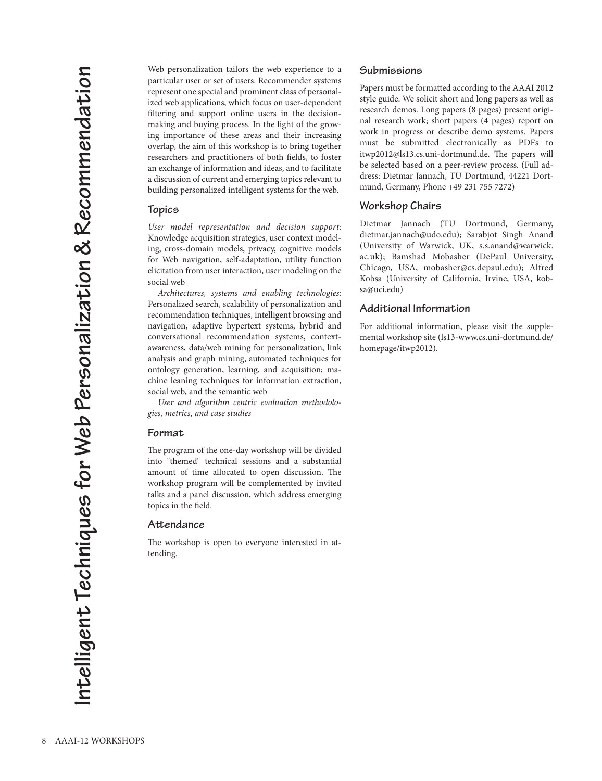Web personalization tailors the web experience to a particular user or set of users. Recommender systems represent one special and prominent class of personalized web applications, which focus on user-dependent filtering and support online users in the decisionmaking and buying process. In the light of the growing importance of these areas and their increasing overlap, the aim of this workshop is to bring together researchers and practitioners of both fields, to foster an exchange of information and ideas, and to facilitate a discussion of current and emerging topics relevant to building personalized intelligent systems for the web.

#### **Topics**

*User model representation and decision support:* Knowledge acquisition strategies, user context modeling, cross-domain models, privacy, cognitive models for Web navigation, self-adaptation, utility function elicitation from user interaction, user modeling on the social web

*Architectures, systems and enabling technologies:* Personalized search, scalability of personalization and recommendation techniques, intelligent browsing and navigation, adaptive hypertext systems, hybrid and conversational recommendation systems, contextawareness, data/web mining for personalization, link analysis and graph mining, automated techniques for ontology generation, learning, and acquisition; machine leaning techniques for information extraction, social web, and the semantic web

*User and algorithm centric evaluation methodologies, metrics, and case studies*

#### **Format**

The program of the one-day workshop will be divided into "themed" technical sessions and a substantial amount of time allocated to open discussion. The workshop program will be complemented by invited talks and a panel discussion, which address emerging topics in the field.

#### Attendance

The workshop is open to everyone interested in attending.

#### **Submissions**

Papers must be formatted according to the AAAI 2012 style guide. We solicit short and long papers as well as research demos. Long papers (8 pages) present original research work; short papers (4 pages) report on work in progress or describe demo systems. Papers must be submitted electronically as PDFs to itwp2012@ls13.cs.uni-dortmund.de. The papers will be selected based on a peer-review process. (Full address: Dietmar Jannach, TU Dortmund, 44221 Dortmund, Germany, Phone +49 231 755 7272)

#### **Workshop Chairs**

Dietmar Jannach (TU Dortmund, Germany, dietmar.jannach@udo.edu); Sarabjot Singh Anand (University of Warwick, UK, s.s.anand@warwick. ac.uk); Bamshad Mobasher (DePaul University, Chicago, USA, mobasher@cs.depaul.edu); Alfred Kobsa (University of California, Irvine, USA, kobsa@uci.edu)

#### **Additional Information**

For additional information, please visit the supplemental workshop site (ls13-www.cs.uni-dortmund.de/ homepage/itwp2012).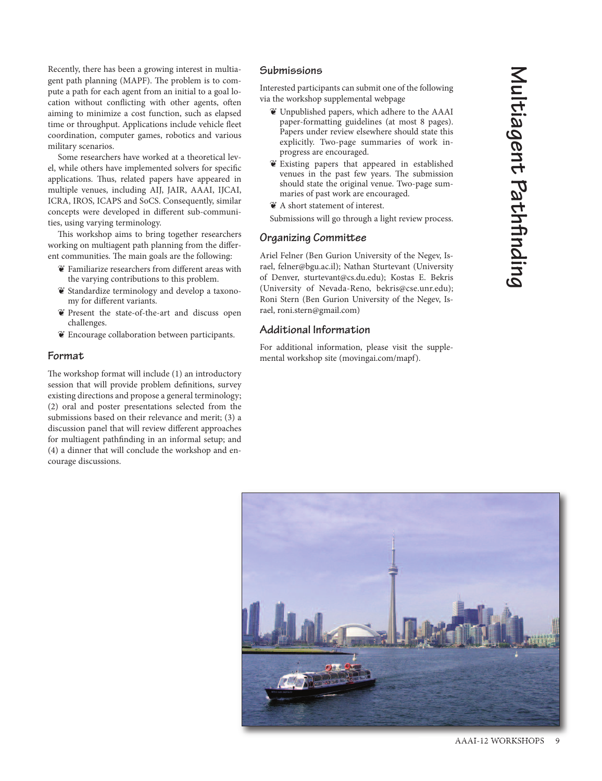Recently, there has been a growing interest in multiagent path planning (MAPF). The problem is to compute a path for each agent from an initial to a goal location without conflicting with other agents, often aiming to minimize a cost function, such as elapsed time or throughput. Applications include vehicle fleet coordination, computer games, robotics and various military scenarios.

Some researchers have worked at a theoretical level, while others have implemented solvers for specific applications. Thus, related papers have appeared in multiple venues, including AIJ, JAIR, AAAI, IJCAI, ICRA, IROS, ICAPS and SoCS. Consequently, similar concepts were developed in different sub-communities, using varying terminology.

This workshop aims to bring together researchers working on multiagent path planning from the different communities. The main goals are the following:

- ¶ Familiarize researchers from different areas with the varying contributions to this problem.
- ¶ Standardize terminology and develop a taxonomy for different variants.
- ¶ Present the state-of-the-art and discuss open challenges.
- ¶ Encourage collaboration between participants.

# **Format**

The workshop format will include (1) an introductory session that will provide problem definitions, survey existing directions and propose a general terminology; (2) oral and poster presentations selected from the submissions based on their relevance and merit; (3) a discussion panel that will review different approaches for multiagent pathfinding in an informal setup; and (4) a dinner that will conclude the workshop and encourage discussions.

#### **Submissions**

Interested participants can submit one of the following via the workshop supplemental webpage

- ¶ Unpublished papers, which adhere to the AAAI paper-formatting guidelines (at most 8 pages). Papers under review elsewhere should state this explicitly. Two-page summaries of work inprogress are encouraged.
- ¶ Existing papers that appeared in established venues in the past few years. The submission should state the original venue. Two-page summaries of past work are encouraged.
- ¶ A short statement of interest.

Submissions will go through a light review process.

#### **Organizing Committee**

Ariel Felner (Ben Gurion University of the Negev, Israel, felner@bgu.ac.il); Nathan Sturtevant (University of Denver, sturtevant@cs.du.edu); Kostas E. Bekris (University of Nevada-Reno, bekris@cse.unr.edu); Roni Stern (Ben Gurion University of the Negev, Israel, roni.stern@gmail.com)

#### **Additional Information**

For additional information, please visit the supplemental workshop site (movingai.com/mapf).

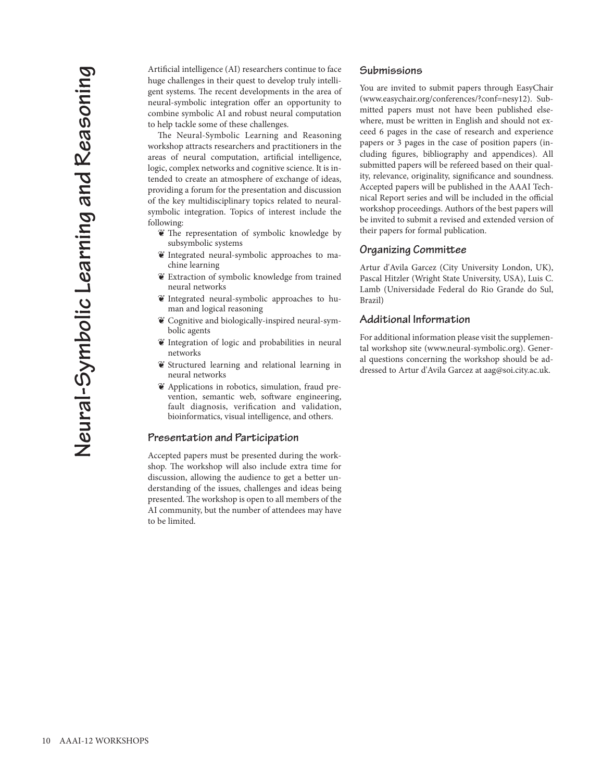Artificial intelligence (AI) researchers continue to face huge challenges in their quest to develop truly intelligent systems. The recent developments in the area of neural-symbolic integration offer an opportunity to combine symbolic AI and robust neural computation to help tackle some of these challenges.

The Neural-Symbolic Learning and Reasoning workshop attracts researchers and practitioners in the areas of neural computation, artificial intelligence, logic, complex networks and cognitive science. It is intended to create an atmosphere of exchange of ideas, providing a forum for the presentation and discussion of the key multidisciplinary topics related to neuralsymbolic integration. Topics of interest include the following:

- $\bullet$  The representation of symbolic knowledge by subsymbolic systems
- ¶ Integrated neural-symbolic approaches to machine learning
- ¶ Extraction of symbolic knowledge from trained neural networks
- $\mathbf{\tilde{e}}$  Integrated neural-symbolic approaches to human and logical reasoning
- ¶ Cognitive and biologically-inspired neural-symbolic agents
- ¶ Integration of logic and probabilities in neural networks
- Structured learning and relational learning in neural networks
- ¶ Applications in robotics, simulation, fraud prevention, semantic web, software engineering, fault diagnosis, verification and validation, bioinformatics, visual intelligence, and others.

#### **Presentation and Participation**

Accepted papers must be presented during the workshop. The workshop will also include extra time for discussion, allowing the audience to get a better understanding of the issues, challenges and ideas being presented. The workshop is open to all members of the AI community, but the number of attendees may have to be limited.

#### **Submissions**

You are invited to submit papers through EasyChair (www.easychair.org/conferences/?conf=nesy12). Submitted papers must not have been published elsewhere, must be written in English and should not exceed 6 pages in the case of research and experience papers or 3 pages in the case of position papers (including figures, bibliography and appendices). All submitted papers will be refereed based on their quality, relevance, originality, significance and soundness. Accepted papers will be published in the AAAI Technical Report series and will be included in the official workshop proceedings. Authors of the best papers will be invited to submit a revised and extended version of their papers for formal publication.

#### **Organizing Committee**

Artur d'Avila Garcez (City University London, UK), Pascal Hitzler (Wright State University, USA), Luis C. Lamb (Universidade Federal do Rio Grande do Sul, Brazil)

## **Additional Information**

For additional information please visit the supplemental workshop site (www.neural-symbolic.org). General questions concerning the workshop should be addressed to Artur d'Avila Garcez at aag@soi.city.ac.uk.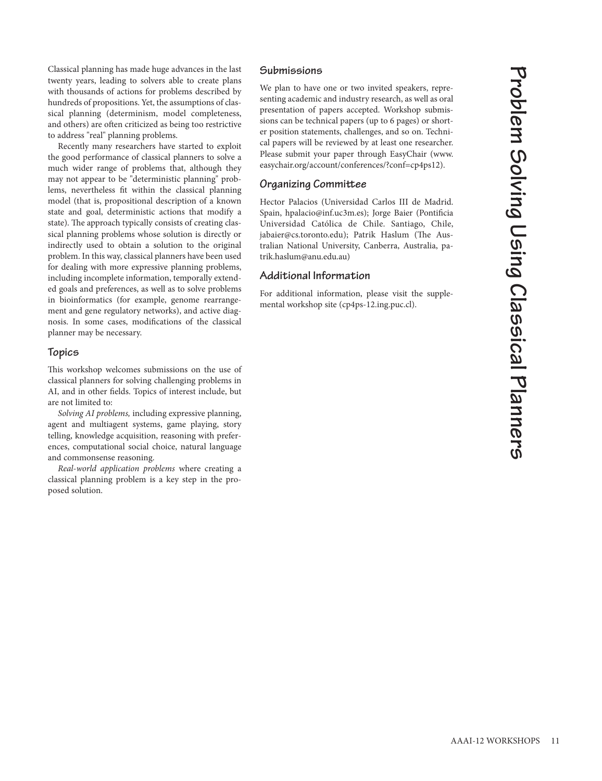**n n e r s**

**P**

Classical planning has made huge advances in the last twenty years, leading to solvers able to create plans with thousands of actions for problems described by hundreds of propositions. Yet, the assumptions of classical planning (determinism, model completeness, and others) are often criticized as being too restrictive to address "real" planning problems.

Recently many researchers have started to exploit the good performance of classical planners to solve a much wider range of problems that, although they may not appear to be "deterministic planning" problems, nevertheless fit within the classical planning model (that is, propositional description of a known state and goal, deterministic actions that modify a state). The approach typically consists of creating classical planning problems whose solution is directly or indirectly used to obtain a solution to the original problem. In this way, classical planners have been used for dealing with more expressive planning problems, including incomplete information, temporally extended goals and preferences, as well as to solve problems in bioinformatics (for example, genome rearrangement and gene regulatory networks), and active diagnosis. In some cases, modifications of the classical planner may be necessary.

#### **Topics**

This workshop welcomes submissions on the use of classical planners for solving challenging problems in AI, and in other fields. Topics of interest include, but are not limited to:

*Solving AI problems,* including expressive planning, agent and multiagent systems, game playing, story telling, knowledge acquisition, reasoning with preferences, computational social choice, natural language and commonsense reasoning.

*Real-world application problems* where creating a classical planning problem is a key step in the proposed solution.

#### **Submissions**

We plan to have one or two invited speakers, representing academic and industry research, as well as oral presentation of papers accepted. Workshop submissions can be technical papers (up to 6 pages) or shorter position statements, challenges, and so on. Technical papers will be reviewed by at least one researcher. Please submit your paper through EasyChair (www. easychair.org/account/conferences/?conf=cp4ps12).

#### **Organizing Committee**

Hector Palacios (Universidad Carlos III de Madrid. Spain, hpalacio@inf.uc3m.es); Jorge Baier (Pontificia Universidad Católica de Chile. Santiago, Chile, jabaier@cs.toronto.edu); Patrik Haslum (The Australian National University, Canberra, Australia, patrik.haslum@anu.edu.au)

## **Additional Information**

For additional information, please visit the supplemental workshop site (cp4ps-12.ing.puc.cl).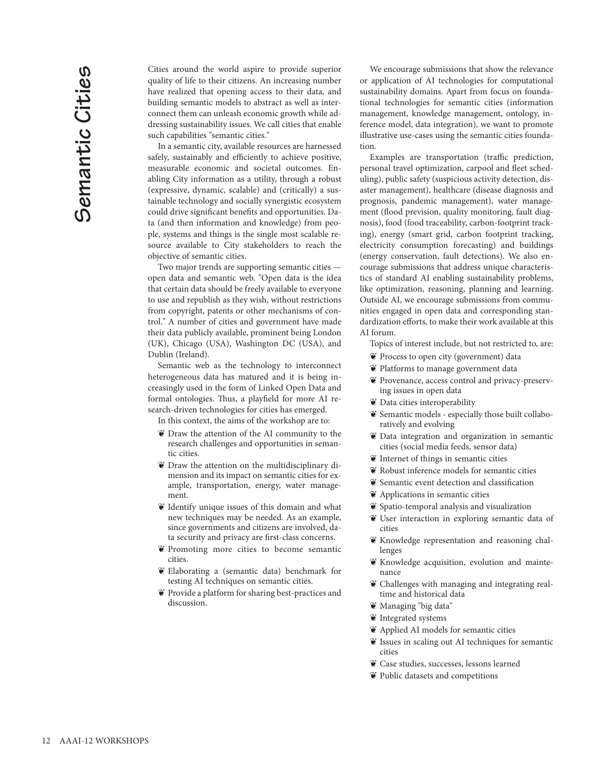Cities around the world aspire to provide superior quality of life to their citizens. An increasing number have realized that opening access to their data, and building semantic models to abstract as well as interconnect them can unleash economic growth while addressing sustainability issues. We call cities that enable such capabilities "semantic cities."

In a semantic city, available resources are harnessed safely, sustainably and efficiently to achieve positive, measurable economic and societal outcomes. Enabling City information as a utility, through a robust (expressive, dynamic, scalable) and (critically) a sustainable technology and socially synergistic ecosystem could drive significant benefits and opportunities. Data (and then information and knowledge) from people, systems and things is the single most scalable resource available to City stakeholders to reach the objective of semantic cities.

Two major trends are supporting semantic cities open data and semantic web. "Open data is the idea that certain data should be freely available to everyone to use and republish as they wish, without restrictions from copyright, patents or other mechanisms of control." A number of cities and government have made their data publicly available, prominent being London (UK), Chicago (USA), Washington DC (USA), and Dublin (Ireland).

Semantic web as the technology to interconnect heterogeneous data has matured and it is being increasingly used in the form of Linked Open Data and formal ontologies. Thus, a playfield for more AI research-driven technologies for cities has emerged.

In this context, the aims of the workshop are to:

- ¶ Draw the attention of the AI community to the research challenges and opportunities in semantic cities.
- ¶ Draw the attention on the multidisciplinary dimension and its impact on semantic cities for example, transportation, energy, water management.
- ¶ Identify unique issues of this domain and what new techniques may be needed. As an example, since governments and citizens are involved, data security and privacy are first-class concerns.
- ¶ Promoting more cities to become semantic cities.
- ¶ Elaborating a (semantic data) benchmark for testing AI techniques on semantic cities.
- ¶ Provide a platform for sharing best-practices and discussion.

We encourage submissions that show the relevance or application of AI technologies for computational sustainability domains. Apart from focus on foundational technologies for semantic cities (information management, knowledge management, ontology, inference model, data integration), we want to promote illustrative use-cases using the semantic cities foundation.

Examples are transportation (traffic prediction, personal travel optimization, carpool and fleet scheduling), public safety (suspicious activity detection, disaster management), healthcare (disease diagnosis and prognosis, pandemic management), water management (flood prevision, quality monitoring, fault diagnosis), food (food traceability, carbon-footprint tracking), energy (smart grid, carbon footprint tracking, electricity consumption forecasting) and buildings (energy conservation, fault detections). We also encourage submissions that address unique characteristics of standard AI enabling sustainability problems, like optimization, reasoning, planning and learning. Outside AI, we encourage submissions from communities engaged in open data and corresponding standardization efforts, to make their work available at this AI forum.

Topics of interest include, but not restricted to, are:

- ¶ Process to open city (government) data
- ¶ Platforms to manage government data
- ¶ Provenance, access control and privacy-preserving issues in open data
- ¶ Data cities interoperability
- $\mathfrak{E}$  Semantic models especially those built collaboratively and evolving
- ¶ Data integration and organization in semantic cities (social media feeds, sensor data)
- ¶ Internet of things in semantic cities
- ¶ Robust inference models for semantic cities
- ¶ Semantic event detection and classification
- ¶ Applications in semantic cities
- ¶ Spatio-temporal analysis and visualization
- ¶ User interaction in exploring semantic data of cities
- ¶ Knowledge representation and reasoning challenges
- ¶ Knowledge acquisition, evolution and maintenance
- ¶ Challenges with managing and integrating realtime and historical data
- ¶ Managing "big data"
- $\mathbf{\tilde{e}}$  Integrated systems
- ¶ Applied AI models for semantic cities
- ¶ Issues in scaling out AI techniques for semantic cities
- ¶ Case studies, successes, lessons learned
- ¶ Public datasets and competitions